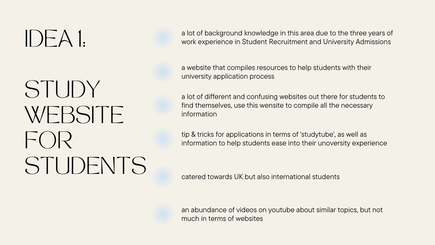## STUDY WEBSITE  $\vdash$  ( )  $\vert$   $\vert$   $\vert$ STUDENTS

a lot of background knowledge in this area due to the three years of a lot of background knowledge in this area due to the three years of<br>work experience in Student Recruitment and University Admissions

> a website that compiles resources to help students with their university application process

a lot of different and confusing websites out there for students to find themselves, use this wensite to compile all the necessary information

tip & tricks for applications in terms of 'studytube' , as well as information to help students ease into their unoversity experience

catered towards UK but also international students

an abundance of videos on youtube about similar topics, but not much in terms of websites